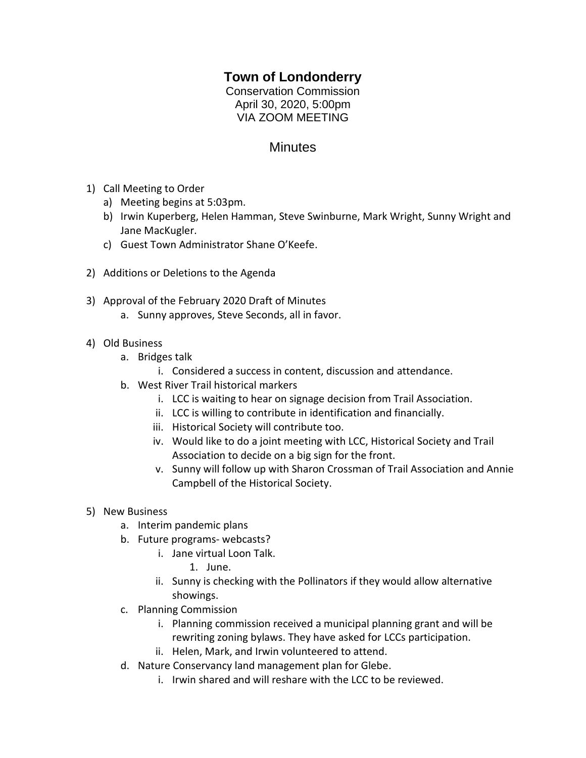## **Town of Londonderry**

Conservation Commission April 30, 2020, 5:00pm VIA ZOOM MEETING

## **Minutes**

- 1) Call Meeting to Order
	- a) Meeting begins at 5:03pm.
	- b) Irwin Kuperberg, Helen Hamman, Steve Swinburne, Mark Wright, Sunny Wright and Jane MacKugler.
	- c) Guest Town Administrator Shane O'Keefe.
- 2) Additions or Deletions to the Agenda
- 3) Approval of the February 2020 Draft of Minutes
	- a. Sunny approves, Steve Seconds, all in favor.
- 4) Old Business
	- a. Bridges talk
		- i. Considered a success in content, discussion and attendance.
	- b. West River Trail historical markers
		- i. LCC is waiting to hear on signage decision from Trail Association.
		- ii. LCC is willing to contribute in identification and financially.
		- iii. Historical Society will contribute too.
		- iv. Would like to do a joint meeting with LCC, Historical Society and Trail Association to decide on a big sign for the front.
		- v. Sunny will follow up with Sharon Crossman of Trail Association and Annie Campbell of the Historical Society.
- 5) New Business
	- a. Interim pandemic plans
	- b. Future programs- webcasts?
		- i. Jane virtual Loon Talk.
			- 1. June.
		- ii. Sunny is checking with the Pollinators if they would allow alternative showings.
	- c. Planning Commission
		- i. Planning commission received a municipal planning grant and will be rewriting zoning bylaws. They have asked for LCCs participation.
		- ii. Helen, Mark, and Irwin volunteered to attend.
	- d. Nature Conservancy land management plan for Glebe.
		- i. Irwin shared and will reshare with the LCC to be reviewed.